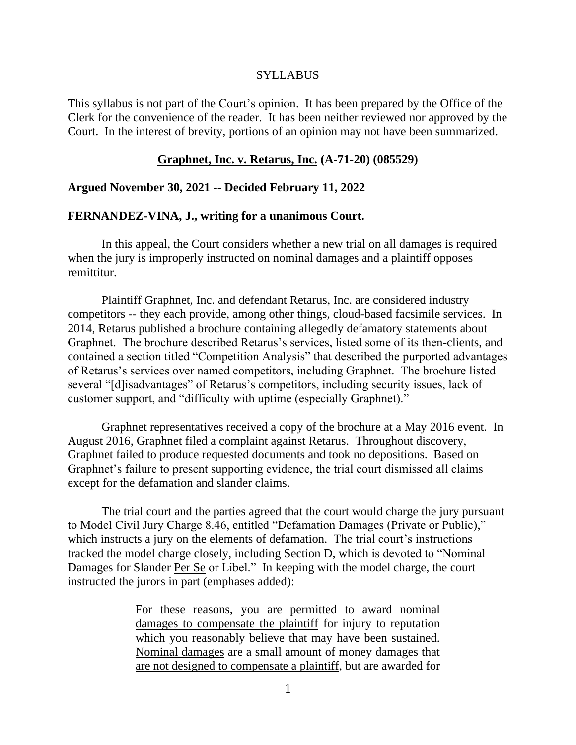#### SYLLABUS

This syllabus is not part of the Court's opinion. It has been prepared by the Office of the Clerk for the convenience of the reader. It has been neither reviewed nor approved by the Court. In the interest of brevity, portions of an opinion may not have been summarized.

#### **Graphnet, Inc. v. Retarus, Inc. (A-71-20) (085529)**

### **Argued November 30, 2021 -- Decided February 11, 2022**

### **FERNANDEZ-VINA, J., writing for a unanimous Court.**

In this appeal, the Court considers whether a new trial on all damages is required when the jury is improperly instructed on nominal damages and a plaintiff opposes remittitur.

Plaintiff Graphnet, Inc. and defendant Retarus, Inc. are considered industry competitors -- they each provide, among other things, cloud-based facsimile services. In 2014, Retarus published a brochure containing allegedly defamatory statements about Graphnet. The brochure described Retarus's services, listed some of its then-clients, and contained a section titled "Competition Analysis" that described the purported advantages of Retarus's services over named competitors, including Graphnet. The brochure listed several "[d]isadvantages" of Retarus's competitors, including security issues, lack of customer support, and "difficulty with uptime (especially Graphnet)."

Graphnet representatives received a copy of the brochure at a May 2016 event. In August 2016, Graphnet filed a complaint against Retarus. Throughout discovery, Graphnet failed to produce requested documents and took no depositions. Based on Graphnet's failure to present supporting evidence, the trial court dismissed all claims except for the defamation and slander claims.

The trial court and the parties agreed that the court would charge the jury pursuant to Model Civil Jury Charge 8.46, entitled "Defamation Damages (Private or Public)," which instructs a jury on the elements of defamation. The trial court's instructions tracked the model charge closely, including Section D, which is devoted to "Nominal Damages for Slander Per Se or Libel." In keeping with the model charge, the court instructed the jurors in part (emphases added):

> For these reasons, you are permitted to award nominal damages to compensate the plaintiff for injury to reputation which you reasonably believe that may have been sustained. Nominal damages are a small amount of money damages that are not designed to compensate a plaintiff, but are awarded for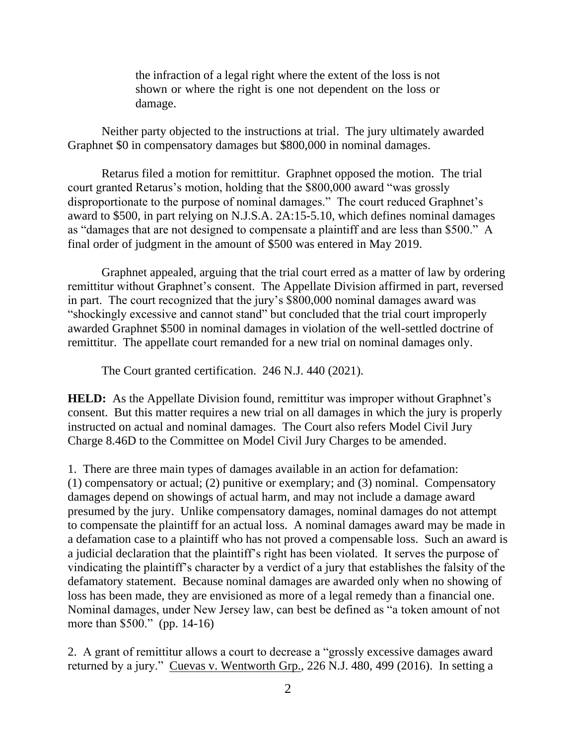the infraction of a legal right where the extent of the loss is not shown or where the right is one not dependent on the loss or damage.

Neither party objected to the instructions at trial. The jury ultimately awarded Graphnet \$0 in compensatory damages but \$800,000 in nominal damages.

Retarus filed a motion for remittitur. Graphnet opposed the motion. The trial court granted Retarus's motion, holding that the \$800,000 award "was grossly disproportionate to the purpose of nominal damages." The court reduced Graphnet's award to \$500, in part relying on N.J.S.A. 2A:15-5.10, which defines nominal damages as "damages that are not designed to compensate a plaintiff and are less than \$500." A final order of judgment in the amount of \$500 was entered in May 2019.

Graphnet appealed, arguing that the trial court erred as a matter of law by ordering remittitur without Graphnet's consent. The Appellate Division affirmed in part, reversed in part. The court recognized that the jury's \$800,000 nominal damages award was "shockingly excessive and cannot stand" but concluded that the trial court improperly awarded Graphnet \$500 in nominal damages in violation of the well-settled doctrine of remittitur. The appellate court remanded for a new trial on nominal damages only.

The Court granted certification. 246 N.J. 440 (2021).

**HELD:** As the Appellate Division found, remittitur was improper without Graphnet's consent. But this matter requires a new trial on all damages in which the jury is properly instructed on actual and nominal damages. The Court also refers Model Civil Jury Charge 8.46D to the Committee on Model Civil Jury Charges to be amended.

1. There are three main types of damages available in an action for defamation: (1) compensatory or actual; (2) punitive or exemplary; and (3) nominal. Compensatory damages depend on showings of actual harm, and may not include a damage award presumed by the jury. Unlike compensatory damages, nominal damages do not attempt to compensate the plaintiff for an actual loss. A nominal damages award may be made in a defamation case to a plaintiff who has not proved a compensable loss. Such an award is a judicial declaration that the plaintiff's right has been violated. It serves the purpose of vindicating the plaintiff's character by a verdict of a jury that establishes the falsity of the defamatory statement. Because nominal damages are awarded only when no showing of loss has been made, they are envisioned as more of a legal remedy than a financial one. Nominal damages, under New Jersey law, can best be defined as "a token amount of not more than \$500." (pp. 14-16)

2. A grant of remittitur allows a court to decrease a "grossly excessive damages award returned by a jury." Cuevas v. Wentworth Grp., 226 N.J. 480, 499 (2016). In setting a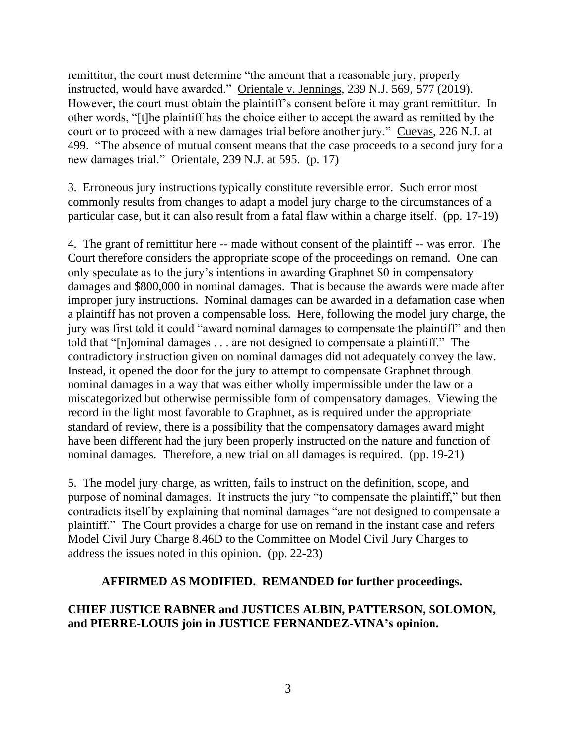remittitur, the court must determine "the amount that a reasonable jury, properly instructed, would have awarded." Orientale v. Jennings, 239 N.J. 569, 577 (2019). However, the court must obtain the plaintiff's consent before it may grant remittitur. In other words, "[t]he plaintiff has the choice either to accept the award as remitted by the court or to proceed with a new damages trial before another jury." Cuevas, 226 N.J. at 499. "The absence of mutual consent means that the case proceeds to a second jury for a new damages trial." Orientale, 239 N.J. at 595. (p. 17)

3. Erroneous jury instructions typically constitute reversible error. Such error most commonly results from changes to adapt a model jury charge to the circumstances of a particular case, but it can also result from a fatal flaw within a charge itself. (pp. 17-19)

4. The grant of remittitur here -- made without consent of the plaintiff -- was error. The Court therefore considers the appropriate scope of the proceedings on remand. One can only speculate as to the jury's intentions in awarding Graphnet \$0 in compensatory damages and \$800,000 in nominal damages. That is because the awards were made after improper jury instructions. Nominal damages can be awarded in a defamation case when a plaintiff has not proven a compensable loss. Here, following the model jury charge, the jury was first told it could "award nominal damages to compensate the plaintiff" and then told that "[n]ominal damages . . . are not designed to compensate a plaintiff." The contradictory instruction given on nominal damages did not adequately convey the law. Instead, it opened the door for the jury to attempt to compensate Graphnet through nominal damages in a way that was either wholly impermissible under the law or a miscategorized but otherwise permissible form of compensatory damages. Viewing the record in the light most favorable to Graphnet, as is required under the appropriate standard of review, there is a possibility that the compensatory damages award might have been different had the jury been properly instructed on the nature and function of nominal damages. Therefore, a new trial on all damages is required. (pp. 19-21)

5. The model jury charge, as written, fails to instruct on the definition, scope, and purpose of nominal damages. It instructs the jury "to compensate the plaintiff," but then contradicts itself by explaining that nominal damages "are not designed to compensate a plaintiff." The Court provides a charge for use on remand in the instant case and refers Model Civil Jury Charge 8.46D to the Committee on Model Civil Jury Charges to address the issues noted in this opinion. (pp. 22-23)

### **AFFIRMED AS MODIFIED. REMANDED for further proceedings.**

# **CHIEF JUSTICE RABNER and JUSTICES ALBIN, PATTERSON, SOLOMON, and PIERRE-LOUIS join in JUSTICE FERNANDEZ-VINA's opinion.**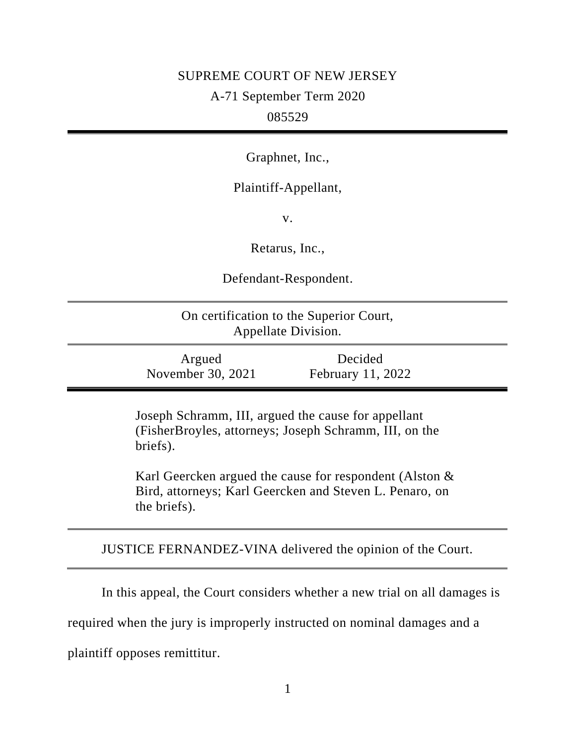## SUPREME COURT OF NEW JERSEY

A-71 September Term 2020

## 085529

Graphnet, Inc.,

Plaintiff-Appellant,

v.

Retarus, Inc.,

Defendant-Respondent.

On certification to the Superior Court, Appellate Division.

Argued November 30, 2021

Decided February 11, 2022

Joseph Schramm, III, argued the cause for appellant (FisherBroyles, attorneys; Joseph Schramm, III, on the briefs).

Karl Geercken argued the cause for respondent (Alston & Bird, attorneys; Karl Geercken and Steven L. Penaro, on the briefs).

JUSTICE FERNANDEZ-VINA delivered the opinion of the Court.

In this appeal, the Court considers whether a new trial on all damages is required when the jury is improperly instructed on nominal damages and a plaintiff opposes remittitur.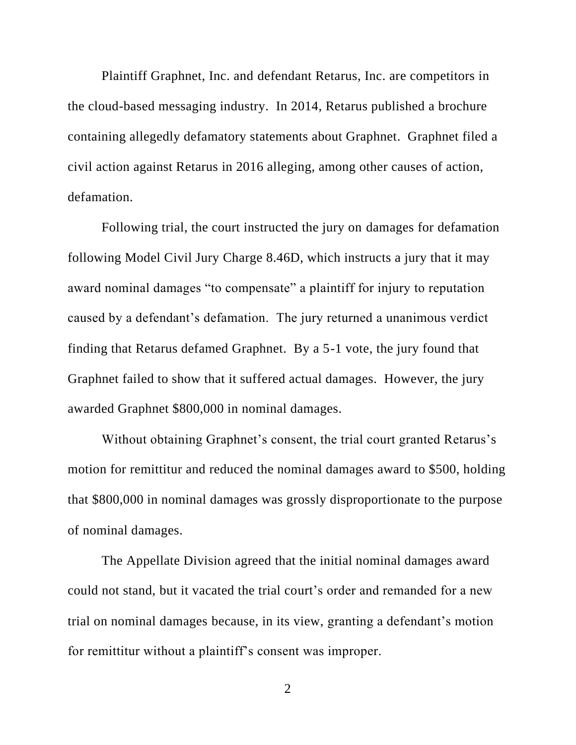Plaintiff Graphnet, Inc. and defendant Retarus, Inc. are competitors in the cloud-based messaging industry. In 2014, Retarus published a brochure containing allegedly defamatory statements about Graphnet. Graphnet filed a civil action against Retarus in 2016 alleging, among other causes of action, defamation.

Following trial, the court instructed the jury on damages for defamation following Model Civil Jury Charge 8.46D, which instructs a jury that it may award nominal damages "to compensate" a plaintiff for injury to reputation caused by a defendant's defamation. The jury returned a unanimous verdict finding that Retarus defamed Graphnet. By a 5-1 vote, the jury found that Graphnet failed to show that it suffered actual damages. However, the jury awarded Graphnet \$800,000 in nominal damages.

Without obtaining Graphnet's consent, the trial court granted Retarus's motion for remittitur and reduced the nominal damages award to \$500, holding that \$800,000 in nominal damages was grossly disproportionate to the purpose of nominal damages.

The Appellate Division agreed that the initial nominal damages award could not stand, but it vacated the trial court's order and remanded for a new trial on nominal damages because, in its view, granting a defendant's motion for remittitur without a plaintiff's consent was improper.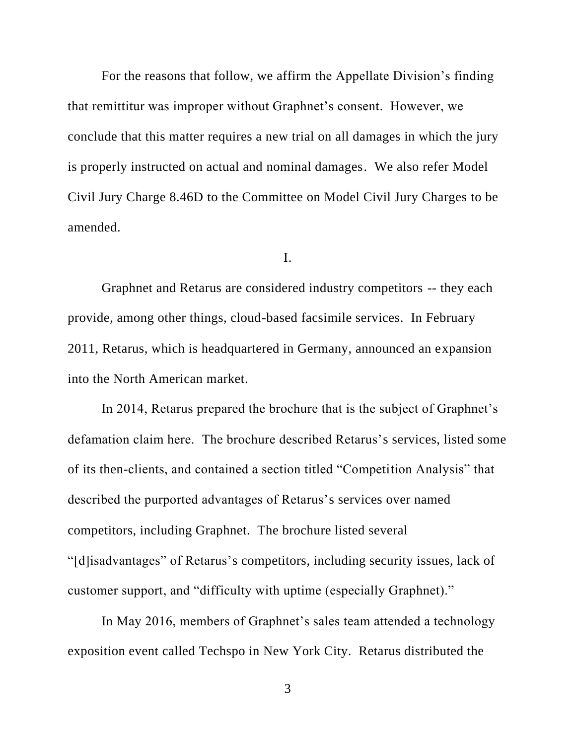For the reasons that follow, we affirm the Appellate Division's finding that remittitur was improper without Graphnet's consent. However, we conclude that this matter requires a new trial on all damages in which the jury is properly instructed on actual and nominal damages. We also refer Model Civil Jury Charge 8.46D to the Committee on Model Civil Jury Charges to be amended.

I.

Graphnet and Retarus are considered industry competitors -- they each provide, among other things, cloud-based facsimile services. In February 2011, Retarus, which is headquartered in Germany, announced an expansion into the North American market.

In 2014, Retarus prepared the brochure that is the subject of Graphnet's defamation claim here. The brochure described Retarus's services, listed some of its then-clients, and contained a section titled "Competition Analysis" that described the purported advantages of Retarus's services over named competitors, including Graphnet. The brochure listed several "[d]isadvantages" of Retarus's competitors, including security issues, lack of

customer support, and "difficulty with uptime (especially Graphnet)."

In May 2016, members of Graphnet's sales team attended a technology exposition event called Techspo in New York City. Retarus distributed the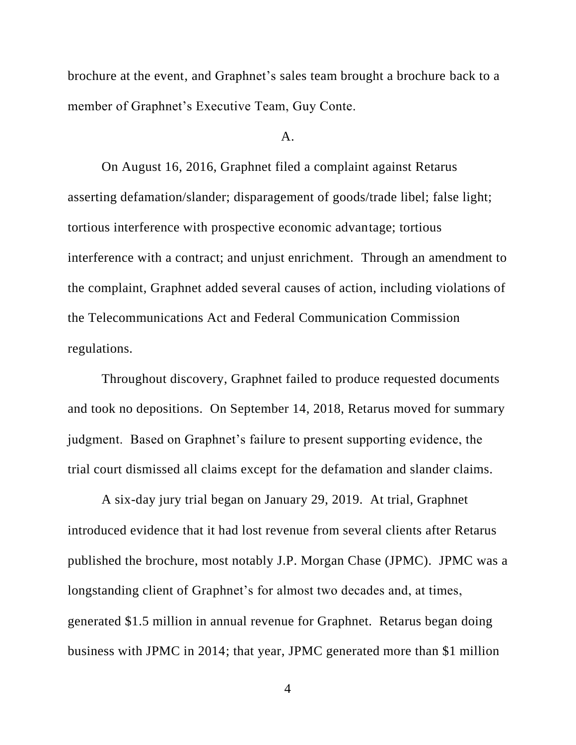brochure at the event, and Graphnet's sales team brought a brochure back to a member of Graphnet's Executive Team, Guy Conte.

#### $A<sub>1</sub>$

On August 16, 2016, Graphnet filed a complaint against Retarus asserting defamation/slander; disparagement of goods/trade libel; false light; tortious interference with prospective economic advantage; tortious interference with a contract; and unjust enrichment. Through an amendment to the complaint, Graphnet added several causes of action, including violations of the Telecommunications Act and Federal Communication Commission regulations.

Throughout discovery, Graphnet failed to produce requested documents and took no depositions. On September 14, 2018, Retarus moved for summary judgment. Based on Graphnet's failure to present supporting evidence, the trial court dismissed all claims except for the defamation and slander claims.

A six-day jury trial began on January 29, 2019. At trial, Graphnet introduced evidence that it had lost revenue from several clients after Retarus published the brochure, most notably J.P. Morgan Chase (JPMC). JPMC was a longstanding client of Graphnet's for almost two decades and, at times, generated \$1.5 million in annual revenue for Graphnet. Retarus began doing business with JPMC in 2014; that year, JPMC generated more than \$1 million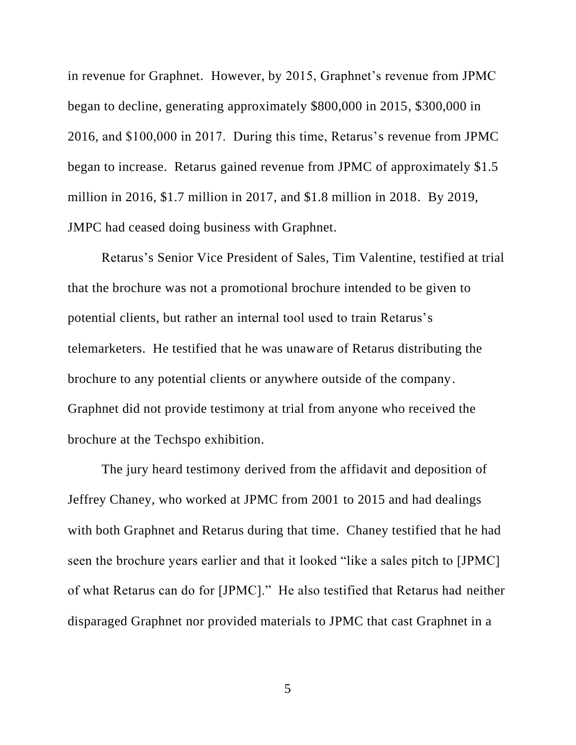in revenue for Graphnet. However, by 2015, Graphnet's revenue from JPMC began to decline, generating approximately \$800,000 in 2015, \$300,000 in 2016, and \$100,000 in 2017. During this time, Retarus's revenue from JPMC began to increase. Retarus gained revenue from JPMC of approximately \$1.5 million in 2016, \$1.7 million in 2017, and \$1.8 million in 2018. By 2019, JMPC had ceased doing business with Graphnet.

Retarus's Senior Vice President of Sales, Tim Valentine, testified at trial that the brochure was not a promotional brochure intended to be given to potential clients, but rather an internal tool used to train Retarus's telemarketers. He testified that he was unaware of Retarus distributing the brochure to any potential clients or anywhere outside of the company. Graphnet did not provide testimony at trial from anyone who received the brochure at the Techspo exhibition.

The jury heard testimony derived from the affidavit and deposition of Jeffrey Chaney, who worked at JPMC from 2001 to 2015 and had dealings with both Graphnet and Retarus during that time. Chaney testified that he had seen the brochure years earlier and that it looked "like a sales pitch to [JPMC] of what Retarus can do for [JPMC]." He also testified that Retarus had neither disparaged Graphnet nor provided materials to JPMC that cast Graphnet in a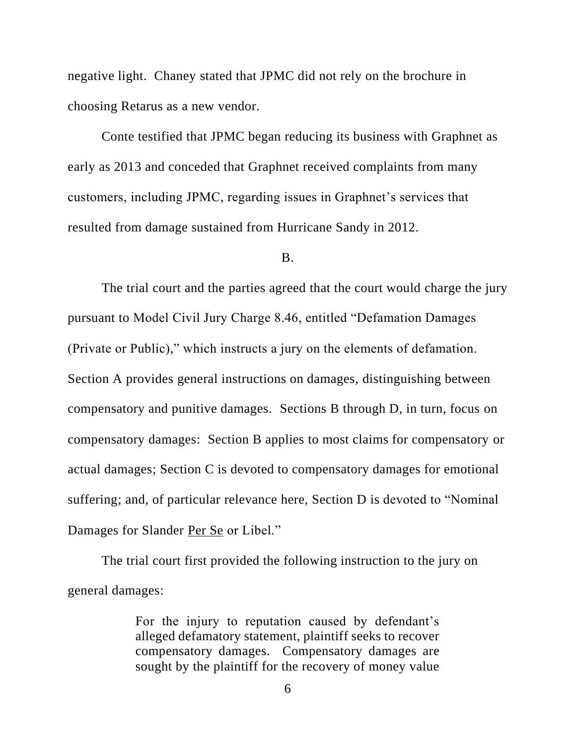negative light. Chaney stated that JPMC did not rely on the brochure in choosing Retarus as a new vendor.

Conte testified that JPMC began reducing its business with Graphnet as early as 2013 and conceded that Graphnet received complaints from many customers, including JPMC, regarding issues in Graphnet's services that resulted from damage sustained from Hurricane Sandy in 2012.

#### B.

The trial court and the parties agreed that the court would charge the jury pursuant to Model Civil Jury Charge 8.46, entitled "Defamation Damages (Private or Public)," which instructs a jury on the elements of defamation. Section A provides general instructions on damages, distinguishing between compensatory and punitive damages. Sections B through D, in turn, focus on compensatory damages: Section B applies to most claims for compensatory or actual damages; Section C is devoted to compensatory damages for emotional suffering; and, of particular relevance here, Section D is devoted to "Nominal Damages for Slander Per Se or Libel."

The trial court first provided the following instruction to the jury on general damages:

> For the injury to reputation caused by defendant's alleged defamatory statement, plaintiff seeks to recover compensatory damages. Compensatory damages are sought by the plaintiff for the recovery of money value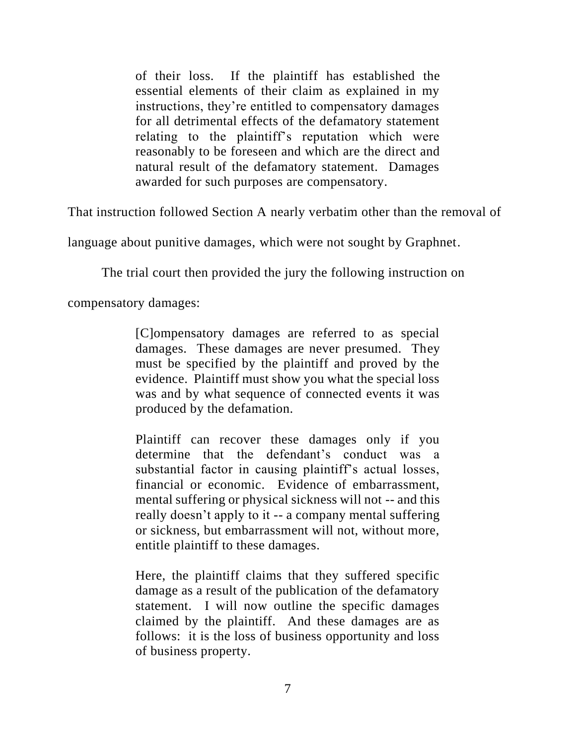of their loss. If the plaintiff has established the essential elements of their claim as explained in my instructions, they're entitled to compensatory damages for all detrimental effects of the defamatory statement relating to the plaintiff's reputation which were reasonably to be foreseen and which are the direct and natural result of the defamatory statement. Damages awarded for such purposes are compensatory.

That instruction followed Section A nearly verbatim other than the removal of

language about punitive damages, which were not sought by Graphnet.

The trial court then provided the jury the following instruction on

compensatory damages:

[C]ompensatory damages are referred to as special damages. These damages are never presumed. They must be specified by the plaintiff and proved by the evidence. Plaintiff must show you what the special loss was and by what sequence of connected events it was produced by the defamation.

Plaintiff can recover these damages only if you determine that the defendant's conduct was a substantial factor in causing plaintiff's actual losses, financial or economic. Evidence of embarrassment, mental suffering or physical sickness will not -- and this really doesn't apply to it -- a company mental suffering or sickness, but embarrassment will not, without more, entitle plaintiff to these damages.

Here, the plaintiff claims that they suffered specific damage as a result of the publication of the defamatory statement. I will now outline the specific damages claimed by the plaintiff. And these damages are as follows: it is the loss of business opportunity and loss of business property.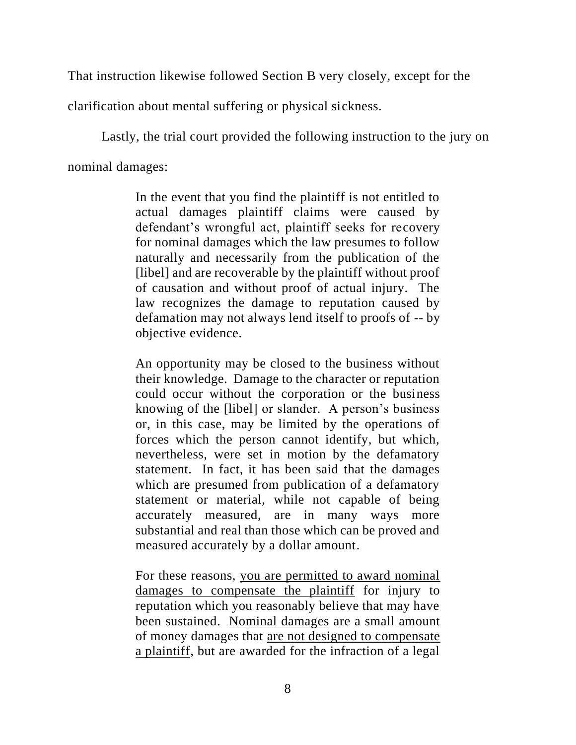That instruction likewise followed Section B very closely, except for the

clarification about mental suffering or physical sickness.

Lastly, the trial court provided the following instruction to the jury on nominal damages:

> In the event that you find the plaintiff is not entitled to actual damages plaintiff claims were caused by defendant's wrongful act, plaintiff seeks for recovery for nominal damages which the law presumes to follow naturally and necessarily from the publication of the [libel] and are recoverable by the plaintiff without proof of causation and without proof of actual injury. The law recognizes the damage to reputation caused by defamation may not always lend itself to proofs of -- by objective evidence.

> An opportunity may be closed to the business without their knowledge. Damage to the character or reputation could occur without the corporation or the business knowing of the [libel] or slander. A person's business or, in this case, may be limited by the operations of forces which the person cannot identify, but which, nevertheless, were set in motion by the defamatory statement. In fact, it has been said that the damages which are presumed from publication of a defamatory statement or material, while not capable of being accurately measured, are in many ways more substantial and real than those which can be proved and measured accurately by a dollar amount.

> For these reasons, you are permitted to award nominal damages to compensate the plaintiff for injury to reputation which you reasonably believe that may have been sustained. Nominal damages are a small amount of money damages that are not designed to compensate a plaintiff, but are awarded for the infraction of a legal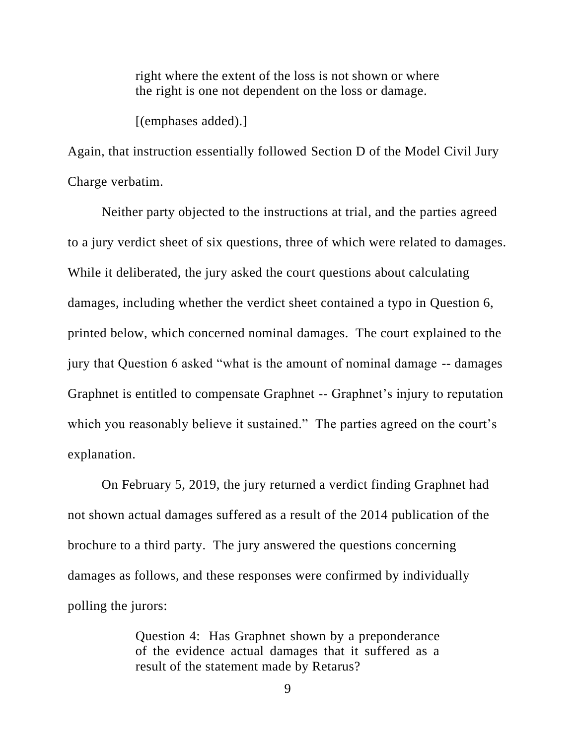right where the extent of the loss is not shown or where the right is one not dependent on the loss or damage.

[(emphases added).]

Again, that instruction essentially followed Section D of the Model Civil Jury Charge verbatim.

Neither party objected to the instructions at trial, and the parties agreed to a jury verdict sheet of six questions, three of which were related to damages. While it deliberated, the jury asked the court questions about calculating damages, including whether the verdict sheet contained a typo in Question 6, printed below, which concerned nominal damages. The court explained to the jury that Question 6 asked "what is the amount of nominal damage -- damages Graphnet is entitled to compensate Graphnet -- Graphnet's injury to reputation which you reasonably believe it sustained." The parties agreed on the court's explanation.

On February 5, 2019, the jury returned a verdict finding Graphnet had not shown actual damages suffered as a result of the 2014 publication of the brochure to a third party. The jury answered the questions concerning damages as follows, and these responses were confirmed by individually polling the jurors:

> Question 4: Has Graphnet shown by a preponderance of the evidence actual damages that it suffered as a result of the statement made by Retarus?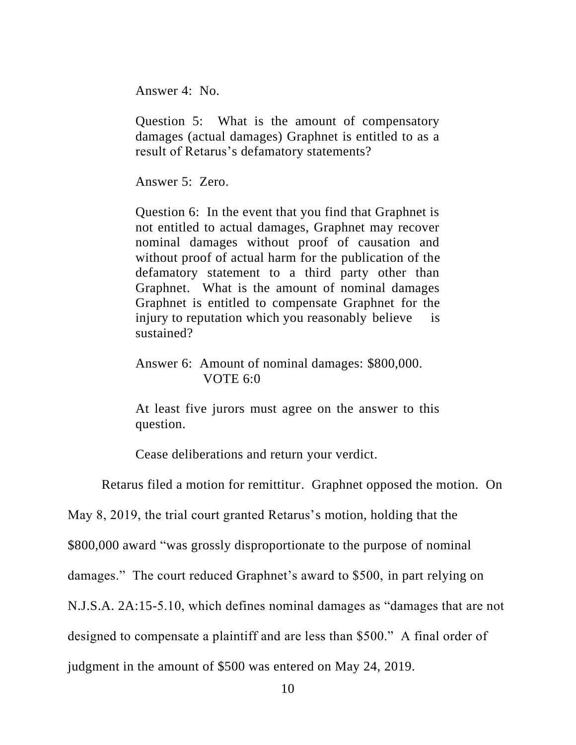Answer 4: No.

Question 5: What is the amount of compensatory damages (actual damages) Graphnet is entitled to as a result of Retarus's defamatory statements?

Answer 5: Zero.

Question 6: In the event that you find that Graphnet is not entitled to actual damages, Graphnet may recover nominal damages without proof of causation and without proof of actual harm for the publication of the defamatory statement to a third party other than Graphnet. What is the amount of nominal damages Graphnet is entitled to compensate Graphnet for the injury to reputation which you reasonably believe is sustained?

Answer 6: Amount of nominal damages: \$800,000. VOTE 6:0

At least five jurors must agree on the answer to this question.

Cease deliberations and return your verdict.

Retarus filed a motion for remittitur. Graphnet opposed the motion. On

May 8, 2019, the trial court granted Retarus's motion, holding that the

\$800,000 award "was grossly disproportionate to the purpose of nominal

damages." The court reduced Graphnet's award to \$500, in part relying on

N.J.S.A. 2A:15-5.10, which defines nominal damages as "damages that are not

designed to compensate a plaintiff and are less than \$500." A final order of

judgment in the amount of \$500 was entered on May 24, 2019.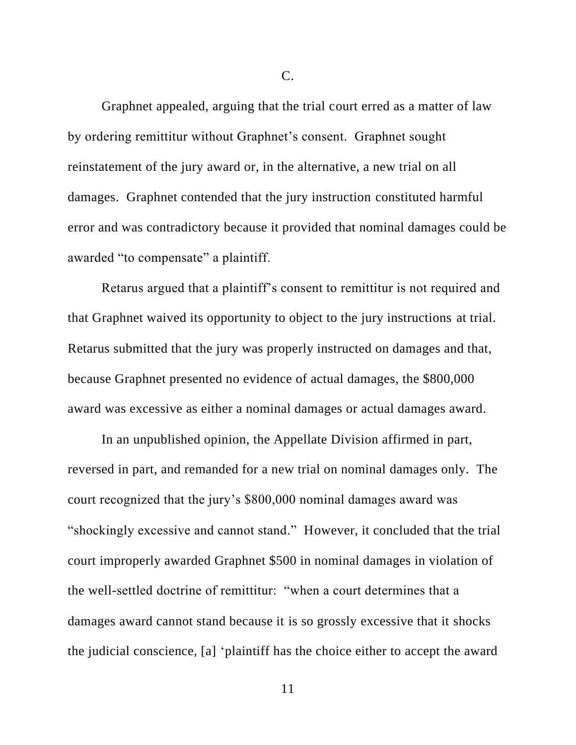C.

Graphnet appealed, arguing that the trial court erred as a matter of law by ordering remittitur without Graphnet's consent. Graphnet sought reinstatement of the jury award or, in the alternative, a new trial on all damages. Graphnet contended that the jury instruction constituted harmful error and was contradictory because it provided that nominal damages could be awarded "to compensate" a plaintiff.

Retarus argued that a plaintiff's consent to remittitur is not required and that Graphnet waived its opportunity to object to the jury instructions at trial. Retarus submitted that the jury was properly instructed on damages and that, because Graphnet presented no evidence of actual damages, the \$800,000 award was excessive as either a nominal damages or actual damages award.

In an unpublished opinion, the Appellate Division affirmed in part, reversed in part, and remanded for a new trial on nominal damages only. The court recognized that the jury's \$800,000 nominal damages award was "shockingly excessive and cannot stand." However, it concluded that the trial court improperly awarded Graphnet \$500 in nominal damages in violation of the well-settled doctrine of remittitur: "when a court determines that a damages award cannot stand because it is so grossly excessive that it shocks the judicial conscience, [a] 'plaintiff has the choice either to accept the award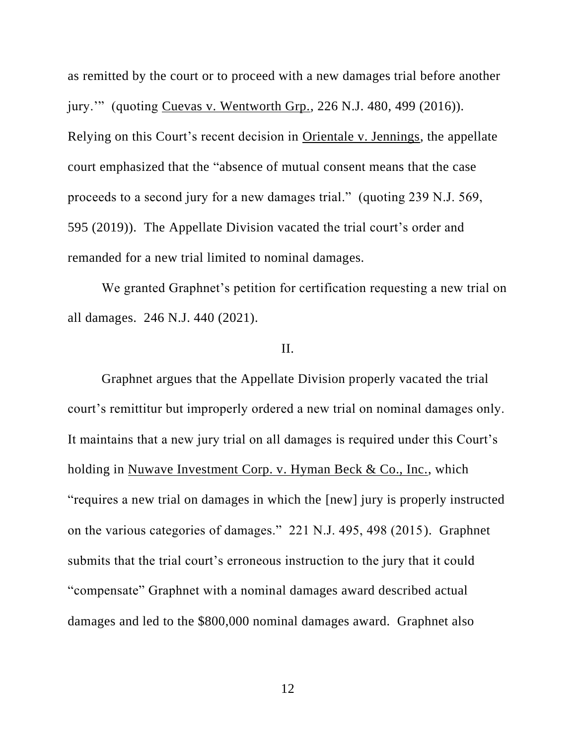as remitted by the court or to proceed with a new damages trial before another jury.'" (quoting Cuevas v. Wentworth Grp., 226 N.J. 480, 499 (2016)). Relying on this Court's recent decision in Orientale v. Jennings, the appellate court emphasized that the "absence of mutual consent means that the case proceeds to a second jury for a new damages trial." (quoting 239 N.J. 569, 595 (2019)). The Appellate Division vacated the trial court's order and remanded for a new trial limited to nominal damages.

We granted Graphnet's petition for certification requesting a new trial on all damages. 246 N.J. 440 (2021).

## II.

Graphnet argues that the Appellate Division properly vacated the trial court's remittitur but improperly ordered a new trial on nominal damages only. It maintains that a new jury trial on all damages is required under this Court's holding in Nuwave Investment Corp. v. Hyman Beck & Co., Inc., which "requires a new trial on damages in which the [new] jury is properly instructed on the various categories of damages." 221 N.J. 495, 498 (2015). Graphnet submits that the trial court's erroneous instruction to the jury that it could "compensate" Graphnet with a nominal damages award described actual damages and led to the \$800,000 nominal damages award. Graphnet also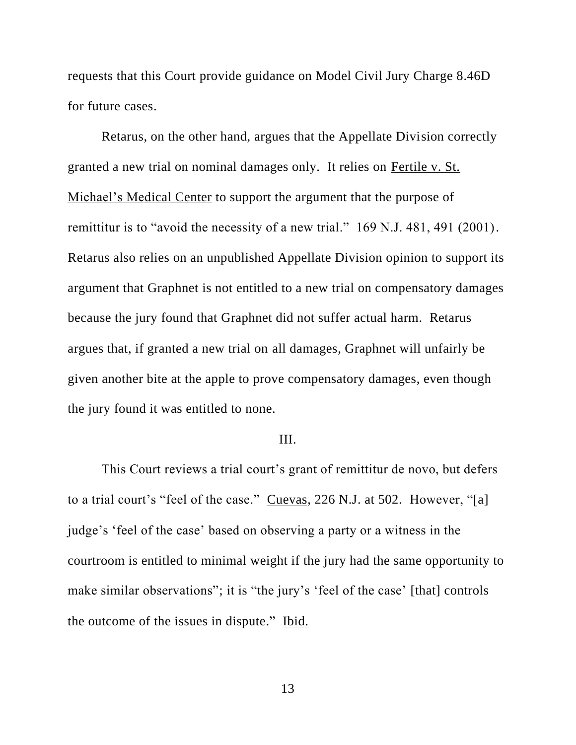requests that this Court provide guidance on Model Civil Jury Charge 8.46D for future cases.

Retarus, on the other hand, argues that the Appellate Division correctly granted a new trial on nominal damages only. It relies on Fertile v. St. Michael's Medical Center to support the argument that the purpose of remittitur is to "avoid the necessity of a new trial." 169 N.J. 481, 491 (2001). Retarus also relies on an unpublished Appellate Division opinion to support its argument that Graphnet is not entitled to a new trial on compensatory damages because the jury found that Graphnet did not suffer actual harm. Retarus argues that, if granted a new trial on all damages, Graphnet will unfairly be given another bite at the apple to prove compensatory damages, even though the jury found it was entitled to none.

### III.

This Court reviews a trial court's grant of remittitur de novo, but defers to a trial court's "feel of the case." Cuevas, 226 N.J. at 502. However, "[a] judge's 'feel of the case' based on observing a party or a witness in the courtroom is entitled to minimal weight if the jury had the same opportunity to make similar observations"; it is "the jury's 'feel of the case' [that] controls the outcome of the issues in dispute." Ibid.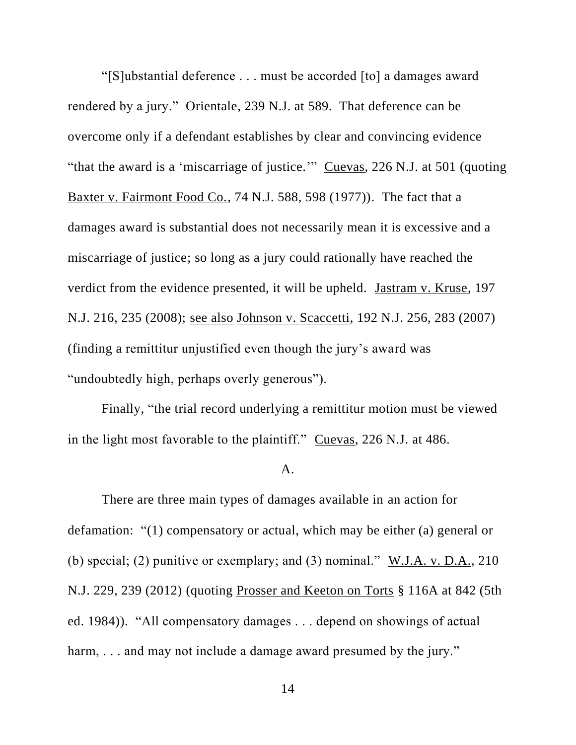"[S]ubstantial deference . . . must be accorded [to] a damages award rendered by a jury." Orientale, 239 N.J. at 589. That deference can be overcome only if a defendant establishes by clear and convincing evidence "that the award is a 'miscarriage of justice." Cuevas, 226 N.J. at 501 (quoting Baxter v. Fairmont Food Co., 74 N.J. 588, 598 (1977)). The fact that a damages award is substantial does not necessarily mean it is excessive and a miscarriage of justice; so long as a jury could rationally have reached the verdict from the evidence presented, it will be upheld. Jastram v. Kruse, 197 N.J. 216, 235 (2008); see also Johnson v. Scaccetti, 192 N.J. 256, 283 (2007) (finding a remittitur unjustified even though the jury's award was "undoubtedly high, perhaps overly generous").

Finally, "the trial record underlying a remittitur motion must be viewed in the light most favorable to the plaintiff." Cuevas, 226 N.J. at 486.

#### A.

There are three main types of damages available in an action for defamation: "(1) compensatory or actual, which may be either (a) general or (b) special; (2) punitive or exemplary; and (3) nominal." W.J.A. v. D.A., 210 N.J. 229, 239 (2012) (quoting Prosser and Keeton on Torts § 116A at 842 (5th ed. 1984)). "All compensatory damages . . . depend on showings of actual harm, ... and may not include a damage award presumed by the jury."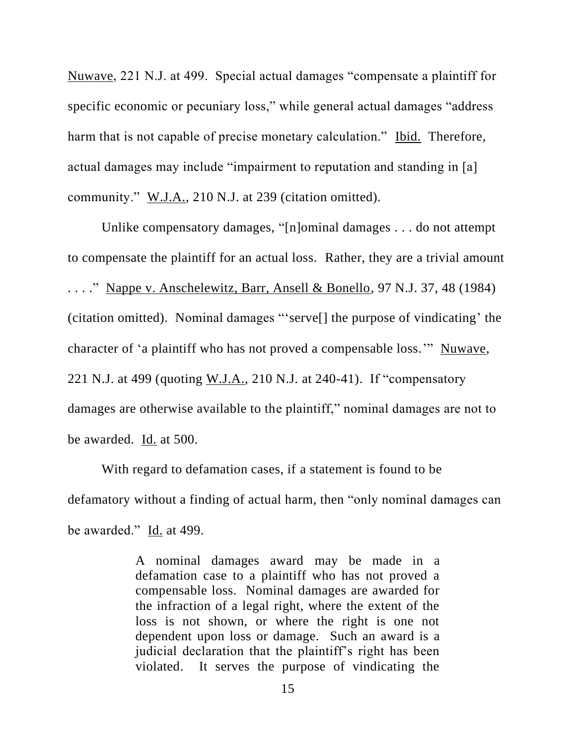Nuwave, 221 N.J. at 499. Special actual damages "compensate a plaintiff for specific economic or pecuniary loss," while general actual damages "address harm that is not capable of precise monetary calculation." Ibid. Therefore, actual damages may include "impairment to reputation and standing in [a] community." W.J.A., 210 N.J. at 239 (citation omitted).

Unlike compensatory damages, "[n]ominal damages . . . do not attempt to compensate the plaintiff for an actual loss. Rather, they are a trivial amount . . . ." Nappe v. Anschelewitz, Barr, Ansell & Bonello, 97 N.J. 37, 48 (1984) (citation omitted). Nominal damages "'serve[] the purpose of vindicating' the character of 'a plaintiff who has not proved a compensable loss.'" Nuwave, 221 N.J. at 499 (quoting W.J.A., 210 N.J. at 240-41). If "compensatory damages are otherwise available to the plaintiff," nominal damages are not to be awarded. Id. at 500.

With regard to defamation cases, if a statement is found to be defamatory without a finding of actual harm, then "only nominal damages can be awarded." Id. at 499.

> A nominal damages award may be made in a defamation case to a plaintiff who has not proved a compensable loss. Nominal damages are awarded for the infraction of a legal right, where the extent of the loss is not shown, or where the right is one not dependent upon loss or damage. Such an award is a judicial declaration that the plaintiff's right has been violated. It serves the purpose of vindicating the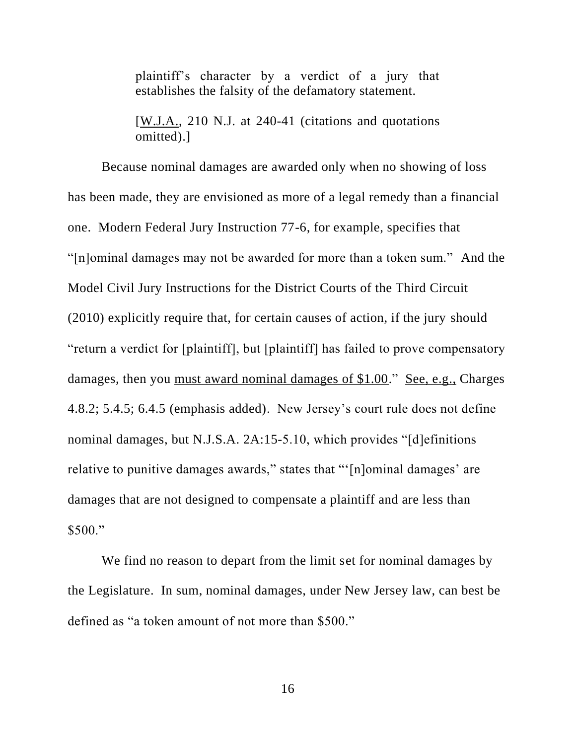plaintiff's character by a verdict of a jury that establishes the falsity of the defamatory statement.

[W.J.A., 210 N.J. at 240-41 (citations and quotations omitted).]

Because nominal damages are awarded only when no showing of loss has been made, they are envisioned as more of a legal remedy than a financial one. Modern Federal Jury Instruction 77-6, for example, specifies that "[n]ominal damages may not be awarded for more than a token sum." And the Model Civil Jury Instructions for the District Courts of the Third Circuit (2010) explicitly require that, for certain causes of action, if the jury should "return a verdict for [plaintiff], but [plaintiff] has failed to prove compensatory damages, then you must award nominal damages of \$1.00." See, e.g., Charges 4.8.2; 5.4.5; 6.4.5 (emphasis added). New Jersey's court rule does not define nominal damages, but N.J.S.A. 2A:15-5.10, which provides "[d]efinitions relative to punitive damages awards," states that "'[n]ominal damages' are damages that are not designed to compensate a plaintiff and are less than \$500."

We find no reason to depart from the limit set for nominal damages by the Legislature. In sum, nominal damages, under New Jersey law, can best be defined as "a token amount of not more than \$500."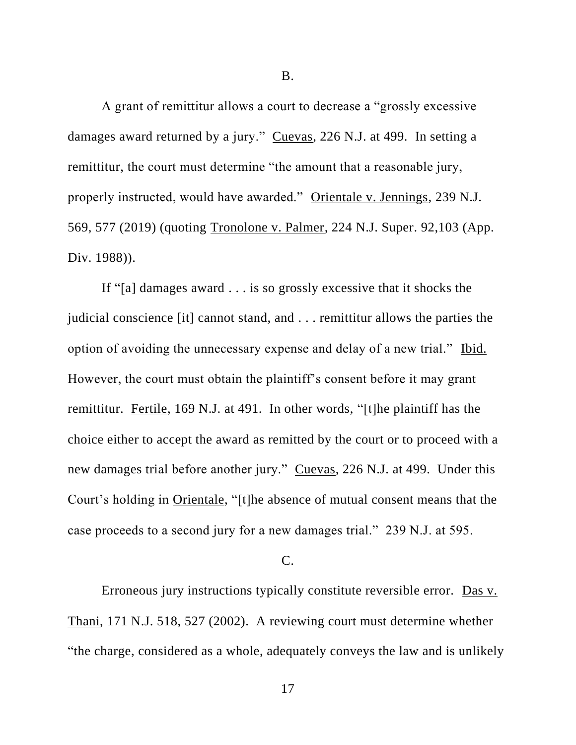B.

A grant of remittitur allows a court to decrease a "grossly excessive damages award returned by a jury." Cuevas, 226 N.J. at 499. In setting a remittitur, the court must determine "the amount that a reasonable jury, properly instructed, would have awarded." Orientale v. Jennings, 239 N.J. 569, 577 (2019) (quoting Tronolone v. Palmer, 224 N.J. Super. 92,103 (App. Div. 1988)).

If "[a] damages award . . . is so grossly excessive that it shocks the judicial conscience [it] cannot stand, and . . . remittitur allows the parties the option of avoiding the unnecessary expense and delay of a new trial." Ibid. However, the court must obtain the plaintiff's consent before it may grant remittitur. Fertile, 169 N.J. at 491. In other words, "[t]he plaintiff has the choice either to accept the award as remitted by the court or to proceed with a new damages trial before another jury." Cuevas, 226 N.J. at 499. Under this Court's holding in Orientale, "[t]he absence of mutual consent means that the case proceeds to a second jury for a new damages trial." 239 N.J. at 595.

#### C.

Erroneous jury instructions typically constitute reversible error. Das v. Thani, 171 N.J. 518, 527 (2002). A reviewing court must determine whether "the charge, considered as a whole, adequately conveys the law and is unlikely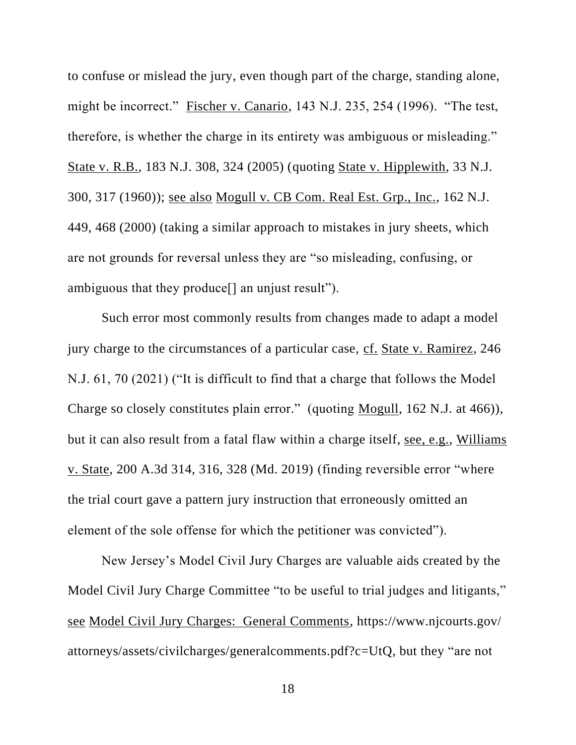to confuse or mislead the jury, even though part of the charge, standing alone, might be incorrect." Fischer v. Canario, 143 N.J. 235, 254 (1996). "The test, therefore, is whether the charge in its entirety was ambiguous or misleading." State v. R.B., 183 N.J. 308, 324 (2005) (quoting State v. Hipplewith, 33 N.J. 300, 317 (1960)); see also Mogull v. CB Com. Real Est. Grp., Inc., 162 N.J. 449, 468 (2000) (taking a similar approach to mistakes in jury sheets, which are not grounds for reversal unless they are "so misleading, confusing, or ambiguous that they produce[] an unjust result").

Such error most commonly results from changes made to adapt a model jury charge to the circumstances of a particular case, cf. State v. Ramirez, 246 N.J. 61, 70 (2021) ("It is difficult to find that a charge that follows the Model Charge so closely constitutes plain error." (quoting Mogull, 162 N.J. at 466)), but it can also result from a fatal flaw within a charge itself, see, e.g., Williams v. State, 200 A.3d 314, 316, 328 (Md. 2019) (finding reversible error "where the trial court gave a pattern jury instruction that erroneously omitted an element of the sole offense for which the petitioner was convicted").

New Jersey's Model Civil Jury Charges are valuable aids created by the Model Civil Jury Charge Committee "to be useful to trial judges and litigants," see Model Civil Jury Charges: General Comments, https://www.njcourts.gov/ attorneys/assets/civilcharges/generalcomments.pdf?c=UtQ, but they "are not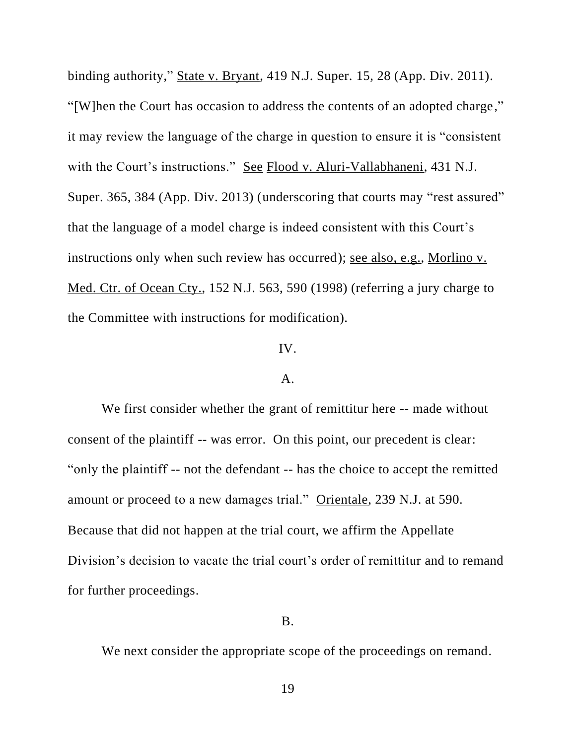binding authority," State v. Bryant, 419 N.J. Super. 15, 28 (App. Div. 2011). "[W]hen the Court has occasion to address the contents of an adopted charge," it may review the language of the charge in question to ensure it is "consistent with the Court's instructions." See Flood v. Aluri-Vallabhaneni, 431 N.J. Super. 365, 384 (App. Div. 2013) (underscoring that courts may "rest assured" that the language of a model charge is indeed consistent with this Court's instructions only when such review has occurred); see also, e.g., Morlino v. Med. Ctr. of Ocean Cty., 152 N.J. 563, 590 (1998) (referring a jury charge to the Committee with instructions for modification).

### IV.

### A.

We first consider whether the grant of remittitur here -- made without consent of the plaintiff -- was error. On this point, our precedent is clear: "only the plaintiff -- not the defendant -- has the choice to accept the remitted amount or proceed to a new damages trial." Orientale, 239 N.J. at 590. Because that did not happen at the trial court, we affirm the Appellate Division's decision to vacate the trial court's order of remittitur and to remand for further proceedings.

## B.

We next consider the appropriate scope of the proceedings on remand.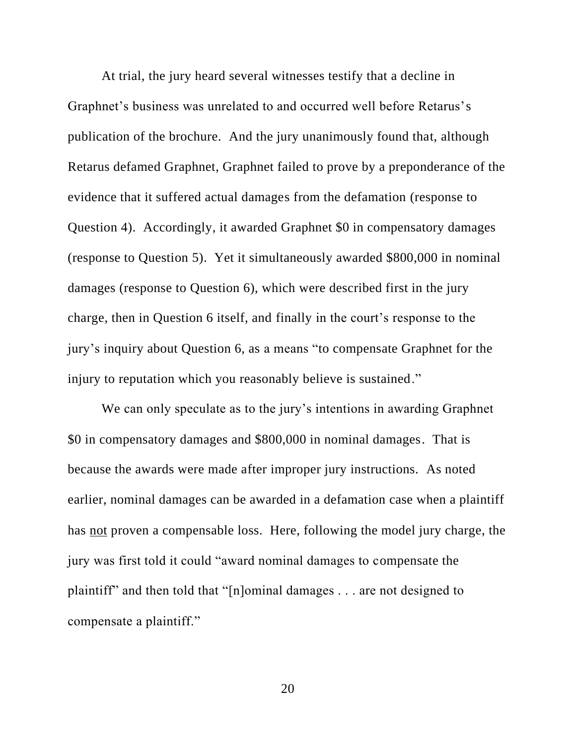At trial, the jury heard several witnesses testify that a decline in Graphnet's business was unrelated to and occurred well before Retarus's publication of the brochure. And the jury unanimously found that, although Retarus defamed Graphnet, Graphnet failed to prove by a preponderance of the evidence that it suffered actual damages from the defamation (response to Question 4). Accordingly, it awarded Graphnet \$0 in compensatory damages (response to Question 5). Yet it simultaneously awarded \$800,000 in nominal damages (response to Question 6), which were described first in the jury charge, then in Question 6 itself, and finally in the court's response to the jury's inquiry about Question 6, as a means "to compensate Graphnet for the injury to reputation which you reasonably believe is sustained."

We can only speculate as to the jury's intentions in awarding Graphnet \$0 in compensatory damages and \$800,000 in nominal damages. That is because the awards were made after improper jury instructions. As noted earlier, nominal damages can be awarded in a defamation case when a plaintiff has not proven a compensable loss. Here, following the model jury charge, the jury was first told it could "award nominal damages to compensate the plaintiff" and then told that "[n]ominal damages . . . are not designed to compensate a plaintiff."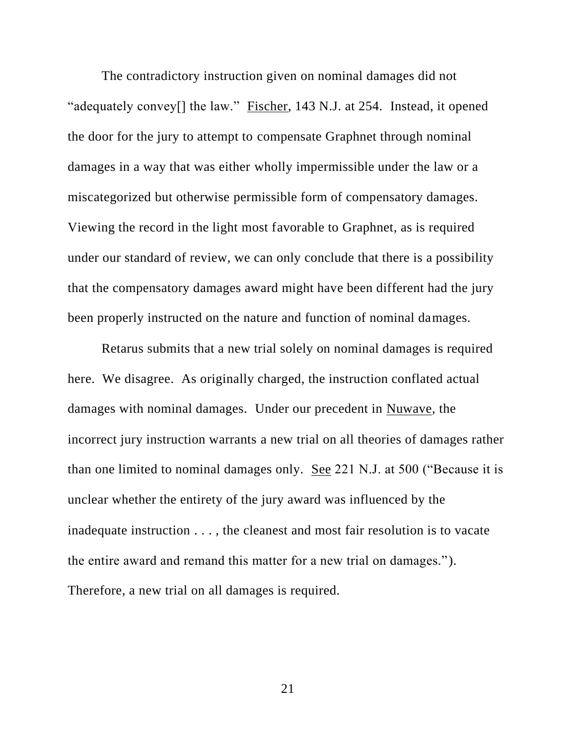The contradictory instruction given on nominal damages did not "adequately convey[] the law." Fischer, 143 N.J. at 254. Instead, it opened the door for the jury to attempt to compensate Graphnet through nominal damages in a way that was either wholly impermissible under the law or a miscategorized but otherwise permissible form of compensatory damages. Viewing the record in the light most favorable to Graphnet, as is required under our standard of review, we can only conclude that there is a possibility that the compensatory damages award might have been different had the jury been properly instructed on the nature and function of nominal damages.

Retarus submits that a new trial solely on nominal damages is required here. We disagree. As originally charged, the instruction conflated actual damages with nominal damages. Under our precedent in Nuwave, the incorrect jury instruction warrants a new trial on all theories of damages rather than one limited to nominal damages only. See 221 N.J. at 500 ("Because it is unclear whether the entirety of the jury award was influenced by the inadequate instruction . . . , the cleanest and most fair resolution is to vacate the entire award and remand this matter for a new trial on damages."). Therefore, a new trial on all damages is required.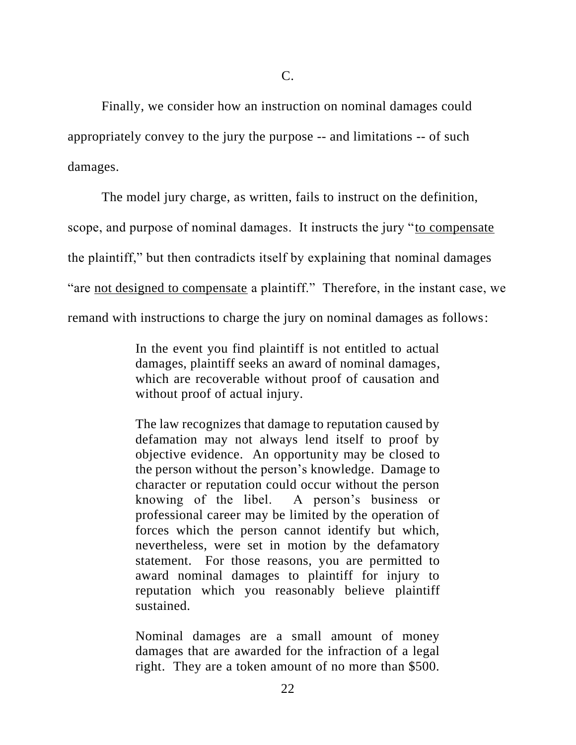Finally, we consider how an instruction on nominal damages could appropriately convey to the jury the purpose -- and limitations -- of such damages.

The model jury charge, as written, fails to instruct on the definition, scope, and purpose of nominal damages. It instructs the jury "to compensate the plaintiff," but then contradicts itself by explaining that nominal damages "are not designed to compensate a plaintiff." Therefore, in the instant case, we remand with instructions to charge the jury on nominal damages as follows:

> In the event you find plaintiff is not entitled to actual damages, plaintiff seeks an award of nominal damages, which are recoverable without proof of causation and without proof of actual injury.

> The law recognizes that damage to reputation caused by defamation may not always lend itself to proof by objective evidence. An opportunity may be closed to the person without the person's knowledge. Damage to character or reputation could occur without the person knowing of the libel. A person's business or professional career may be limited by the operation of forces which the person cannot identify but which, nevertheless, were set in motion by the defamatory statement. For those reasons, you are permitted to award nominal damages to plaintiff for injury to reputation which you reasonably believe plaintiff sustained.

> Nominal damages are a small amount of money damages that are awarded for the infraction of a legal right. They are a token amount of no more than \$500.